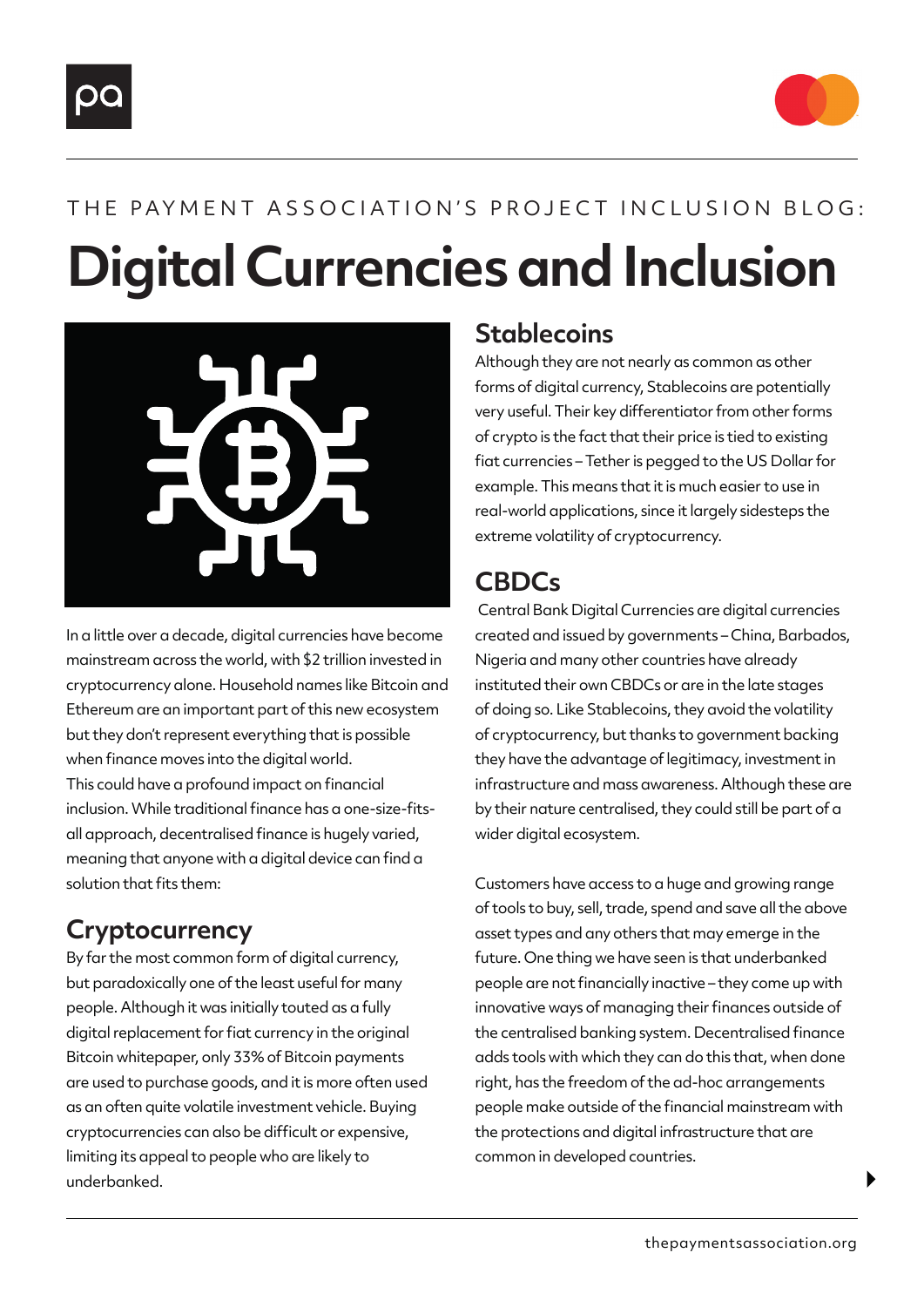



# **Digital Currencies and Inclusion** THE PAYMENT ASSOCIATION'S PROJECT INCLUSION BLOG:



In a little over a decade, digital currencies have become mainstream across the world, with \$2 trillion invested in cryptocurrency alone. Household names like Bitcoin and Ethereum are an important part of this new ecosystem but they don't represent everything that is possible when finance moves into the digital world. This could have a profound impact on financial inclusion. While traditional finance has a one-size-fitsall approach, decentralised finance is hugely varied, meaning that anyone with a digital device can find a solution that fits them:

### **Cryptocurrency**

By far the most common form of digital currency, but paradoxically one of the least useful for many people. Although it was initially touted as a fully digital replacement for fiat currency in the original Bitcoin whitepaper, only 33% of Bitcoin payments are used to purchase goods, and it is more often used as an often quite volatile investment vehicle. Buying cryptocurrencies can also be difficult or expensive, limiting its appeal to people who are likely to underbanked.

### **Stablecoins**

Although they are not nearly as common as other forms of digital currency, Stablecoins are potentially very useful. Their key differentiator from other forms of crypto is the fact that their price is tied to existing fiat currencies – Tether is pegged to the US Dollar for example. This means that it is much easier to use in real-world applications, since it largely sidesteps the extreme volatility of cryptocurrency.

## **CBDCs**

 Central Bank Digital Currencies are digital currencies created and issued by governments – China, Barbados, Nigeria and many other countries have already instituted their own CBDCs or are in the late stages of doing so. Like Stablecoins, they avoid the volatility of cryptocurrency, but thanks to government backing they have the advantage of legitimacy, investment in infrastructure and mass awareness. Although these are by their nature centralised, they could still be part of a wider digital ecosystem.

Customers have access to a huge and growing range of tools to buy, sell, trade, spend and save all the above asset types and any others that may emerge in the future. One thing we have seen is that underbanked people are not financially inactive – they come up with innovative ways of managing their finances outside of the centralised banking system. Decentralised finance adds tools with which they can do this that, when done right, has the freedom of the ad-hoc arrangements people make outside of the financial mainstream with the protections and digital infrastructure that are common in developed countries.

 $\blacktriangleright$